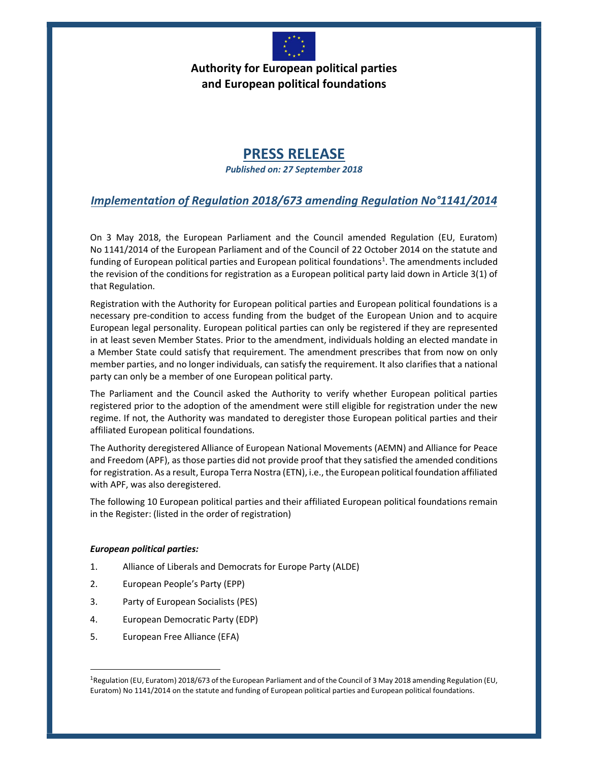

# Authority for European political parties and European political foundations

# PRESS RELEASE

Published on: 27 September 2018

Implementation of Regulation 2018/673 amending Regulation No°1141/2014

On 3 May 2018, the European Parliament and the Council amended Regulation (EU, Euratom) No 1141/2014 of the European Parliament and of the Council of 22 October 2014 on the statute and funding of European political parties and European political foundations<sup>1</sup>. The amendments included the revision of the conditions for registration as a European political party laid down in Article 3(1) of that Regulation.

Registration with the Authority for European political parties and European political foundations is a necessary pre-condition to access funding from the budget of the European Union and to acquire European legal personality. European political parties can only be registered if they are represented in at least seven Member States. Prior to the amendment, individuals holding an elected mandate in a Member State could satisfy that requirement. The amendment prescribes that from now on only member parties, and no longer individuals, can satisfy the requirement. It also clarifies that a national party can only be a member of one European political party.

The Parliament and the Council asked the Authority to verify whether European political parties registered prior to the adoption of the amendment were still eligible for registration under the new regime. If not, the Authority was mandated to deregister those European political parties and their affiliated European political foundations.

The Authority deregistered Alliance of European National Movements (AEMN) and Alliance for Peace and Freedom (APF), as those parties did not provide proof that they satisfied the amended conditions for registration. As a result, Europa Terra Nostra (ETN), i.e., the European political foundation affiliated with APF, was also deregistered.

The following 10 European political parties and their affiliated European political foundations remain in the Register: (listed in the order of registration)

## European political parties:

-

- 1. Alliance of Liberals and Democrats for Europe Party (ALDE)
- 2. European People's Party (EPP)
- 3. Party of European Socialists (PES)
- 4. European Democratic Party (EDP)
- 5. European Free Alliance (EFA)

<sup>&</sup>lt;sup>1</sup>Regulation (EU, Euratom) 2018/673 of the European Parliament and of the Council of 3 May 2018 amending Regulation (EU, Euratom) No 1141/2014 on the statute and funding of European political parties and European political foundations.